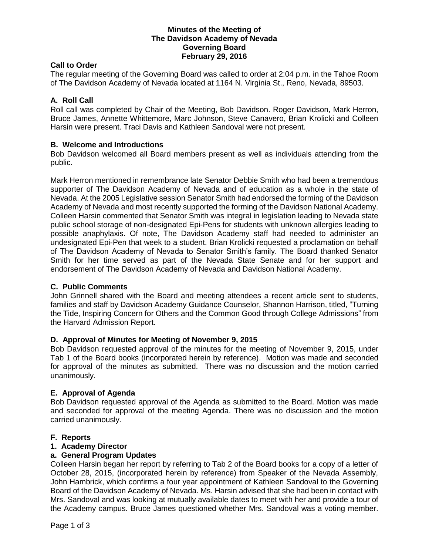## **Minutes of the Meeting of The Davidson Academy of Nevada Governing Board February 29, 2016**

## **Call to Order**

The regular meeting of the Governing Board was called to order at 2:04 p.m. in the Tahoe Room of The Davidson Academy of Nevada located at 1164 N. Virginia St., Reno, Nevada, 89503.

## **A. Roll Call**

Roll call was completed by Chair of the Meeting, Bob Davidson. Roger Davidson, Mark Herron, Bruce James, Annette Whittemore, Marc Johnson, Steve Canavero, Brian Krolicki and Colleen Harsin were present. Traci Davis and Kathleen Sandoval were not present.

## **B. Welcome and Introductions**

Bob Davidson welcomed all Board members present as well as individuals attending from the public.

Mark Herron mentioned in remembrance late Senator Debbie Smith who had been a tremendous supporter of The Davidson Academy of Nevada and of education as a whole in the state of Nevada. At the 2005 Legislative session Senator Smith had endorsed the forming of the Davidson Academy of Nevada and most recently supported the forming of the Davidson National Academy. Colleen Harsin commented that Senator Smith was integral in legislation leading to Nevada state public school storage of non-designated Epi-Pens for students with unknown allergies leading to possible anaphylaxis. Of note, The Davidson Academy staff had needed to administer an undesignated Epi-Pen that week to a student. Brian Krolicki requested a proclamation on behalf of The Davidson Academy of Nevada to Senator Smith's family. The Board thanked Senator Smith for her time served as part of the Nevada State Senate and for her support and endorsement of The Davidson Academy of Nevada and Davidson National Academy.

#### **C. Public Comments**

John Grinnell shared with the Board and meeting attendees a recent article sent to students, families and staff by Davidson Academy Guidance Counselor, Shannon Harrison, titled, "Turning the Tide, Inspiring Concern for Others and the Common Good through College Admissions" from the Harvard Admission Report.

#### **D. Approval of Minutes for Meeting of November 9, 2015**

Bob Davidson requested approval of the minutes for the meeting of November 9, 2015, under Tab 1 of the Board books (incorporated herein by reference). Motion was made and seconded for approval of the minutes as submitted. There was no discussion and the motion carried unanimously.

# **E. Approval of Agenda**

Bob Davidson requested approval of the Agenda as submitted to the Board. Motion was made and seconded for approval of the meeting Agenda. There was no discussion and the motion carried unanimously.

#### **F. Reports**

#### **1. Academy Director**

#### **a. General Program Updates**

Colleen Harsin began her report by referring to Tab 2 of the Board books for a copy of a letter of October 28, 2015, (incorporated herein by reference) from Speaker of the Nevada Assembly, John Hambrick, which confirms a four year appointment of Kathleen Sandoval to the Governing Board of the Davidson Academy of Nevada. Ms. Harsin advised that she had been in contact with Mrs. Sandoval and was looking at mutually available dates to meet with her and provide a tour of the Academy campus. Bruce James questioned whether Mrs. Sandoval was a voting member.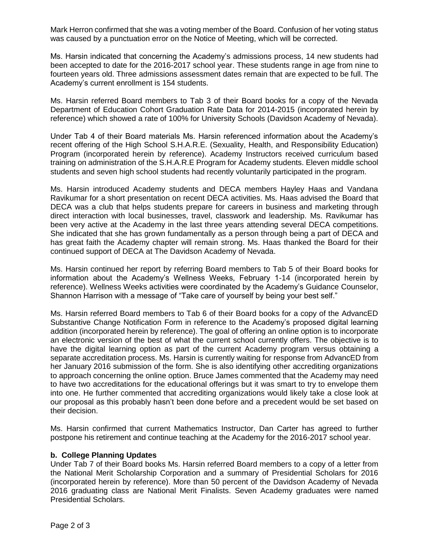Mark Herron confirmed that she was a voting member of the Board. Confusion of her voting status was caused by a punctuation error on the Notice of Meeting, which will be corrected.

Ms. Harsin indicated that concerning the Academy's admissions process, 14 new students had been accepted to date for the 2016-2017 school year. These students range in age from nine to fourteen years old. Three admissions assessment dates remain that are expected to be full. The Academy's current enrollment is 154 students.

Ms. Harsin referred Board members to Tab 3 of their Board books for a copy of the Nevada Department of Education Cohort Graduation Rate Data for 2014-2015 (incorporated herein by reference) which showed a rate of 100% for University Schools (Davidson Academy of Nevada).

Under Tab 4 of their Board materials Ms. Harsin referenced information about the Academy's recent offering of the High School S.H.A.R.E. (Sexuality, Health, and Responsibility Education) Program (incorporated herein by reference). Academy Instructors received curriculum based training on administration of the S.H.A.R.E Program for Academy students. Eleven middle school students and seven high school students had recently voluntarily participated in the program.

Ms. Harsin introduced Academy students and DECA members Hayley Haas and Vandana Ravikumar for a short presentation on recent DECA activities. Ms. Haas advised the Board that DECA was a club that helps students prepare for careers in business and marketing through direct interaction with local businesses, travel, classwork and leadership. Ms. Ravikumar has been very active at the Academy in the last three years attending several DECA competitions. She indicated that she has grown fundamentally as a person through being a part of DECA and has great faith the Academy chapter will remain strong. Ms. Haas thanked the Board for their continued support of DECA at The Davidson Academy of Nevada.

Ms. Harsin continued her report by referring Board members to Tab 5 of their Board books for information about the Academy's Wellness Weeks, February 1-14 (incorporated herein by reference). Wellness Weeks activities were coordinated by the Academy's Guidance Counselor, Shannon Harrison with a message of "Take care of yourself by being your best self."

Ms. Harsin referred Board members to Tab 6 of their Board books for a copy of the AdvancED Substantive Change Notification Form in reference to the Academy's proposed digital learning addition (incorporated herein by reference). The goal of offering an online option is to incorporate an electronic version of the best of what the current school currently offers. The objective is to have the digital learning option as part of the current Academy program versus obtaining a separate accreditation process. Ms. Harsin is currently waiting for response from AdvancED from her January 2016 submission of the form. She is also identifying other accrediting organizations to approach concerning the online option. Bruce James commented that the Academy may need to have two accreditations for the educational offerings but it was smart to try to envelope them into one. He further commented that accrediting organizations would likely take a close look at our proposal as this probably hasn't been done before and a precedent would be set based on their decision.

Ms. Harsin confirmed that current Mathematics Instructor, Dan Carter has agreed to further postpone his retirement and continue teaching at the Academy for the 2016-2017 school year.

# **b. College Planning Updates**

Under Tab 7 of their Board books Ms. Harsin referred Board members to a copy of a letter from the National Merit Scholarship Corporation and a summary of Presidential Scholars for 2016 (incorporated herein by reference). More than 50 percent of the Davidson Academy of Nevada 2016 graduating class are National Merit Finalists. Seven Academy graduates were named Presidential Scholars.